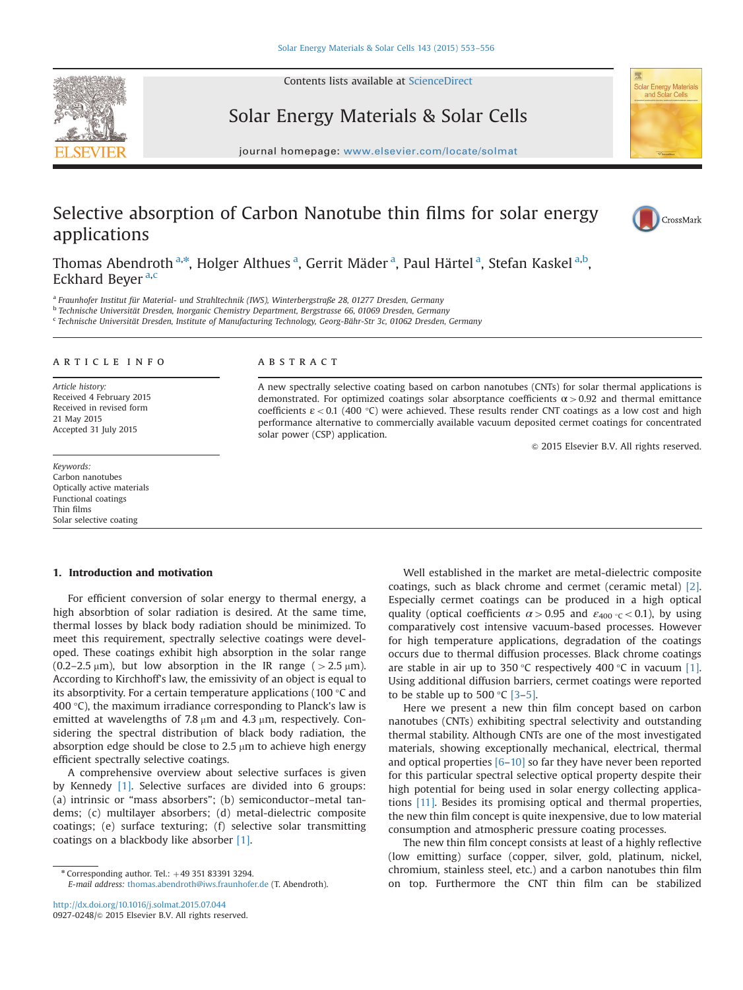Contents lists available at [ScienceDirect](www.sciencedirect.com/science/journal/09270248)



Solar Energy Materials & Solar Cells



journal homepage: <www.elsevier.com/locate/solmat>ics/solution/locate/solution/locate/solution/locate/solution/

# Selective absorption of Carbon Nanotube thin films for solar energy applications



Thomas Abendroth <sup>a,\*</sup>, Holger Althues <sup>a</sup>, Gerrit Mäder <sup>a</sup>, Paul Härtel <sup>a</sup>, Stefan Kaskel <sup>a,b</sup>, Eckhard Beyer<sup>a,c</sup>

<sup>a</sup> Fraunhofer Institut für Material- und Strahltechnik (IWS), Winterbergstraße 28, 01277 Dresden, Germany

<sup>b</sup> Technische Universität Dresden, Inorganic Chemistry Department, Bergstrasse 66, 01069 Dresden, Germany

<sup>c</sup> Technische Universität Dresden, Institute of Manufacturing Technology, Georg-Bähr-Str 3c, 01062 Dresden, Germany

# article info

Article history: Received 4 February 2015 Received in revised form 21 May 2015 Accepted 31 July 2015

Keywords: Carbon nanotubes Optically active materials Functional coatings Thin films Solar selective coating

#### **ABSTRACT**

A new spectrally selective coating based on carbon nanotubes (CNTs) for solar thermal applications is demonstrated. For optimized coatings solar absorptance coefficients  $\alpha$  > 0.92 and thermal emittance coefficients  $\varepsilon$  < 0.1 (400 °C) were achieved. These results render CNT coatings as a low cost and high performance alternative to commercially available vacuum deposited cermet coatings for concentrated solar power (CSP) application.

 $\odot$  2015 Elsevier B.V. All rights reserved.

### 1. Introduction and motivation

For efficient conversion of solar energy to thermal energy, a high absorbtion of solar radiation is desired. At the same time, thermal losses by black body radiation should be minimized. To meet this requirement, spectrally selective coatings were developed. These coatings exhibit high absorption in the solar range (0.2–2.5  $\mu$ m), but low absorption in the IR range ( $>$ 2.5  $\mu$ m). According to Kirchhoff's law, the emissivity of an object is equal to its absorptivity. For a certain temperature applications (100 °C and 400 $\degree$ C), the maximum irradiance corresponding to Planck's law is emitted at wavelengths of 7.8  $\mu$ m and 4.3  $\mu$ m, respectively. Considering the spectral distribution of black body radiation, the absorption edge should be close to  $2.5 \mu m$  to achieve high energy efficient spectrally selective coatings.

A comprehensive overview about selective surfaces is given by Kennedy [1]. Selective surfaces are divided into 6 groups: (a) intrinsic or "mass absorbers"; (b) semiconductor–metal tandems; (c) multilayer absorbers; (d) metal-dielectric composite coatings; (e) surface texturing; (f) selective solar transmitting coatings on a blackbody like absorber [1].

Well established in the market are metal-dielectric composite coatings, such as black chrome and cermet (ceramic metal) [2]. Especially cermet coatings can be produced in a high optical quality (optical coefficients  $\alpha > 0.95$  and  $\varepsilon_{400} \sim < 0.1$ ), by using comparatively cost intensive vacuum-based processes. However for high temperature applications, degradation of the coatings occurs due to thermal diffusion processes. Black chrome coatings are stable in air up to 350 °C respectively 400 °C in vacuum [1]. Using additional diffusion barriers, cermet coatings were reported to be stable up to 500  $\degree$ C [3-5].

Here we present a new thin film concept based on carbon nanotubes (CNTs) exhibiting spectral selectivity and outstanding thermal stability. Although CNTs are one of the most investigated materials, showing exceptionally mechanical, electrical, thermal and optical properties [6–10] so far they have never been reported for this particular spectral selective optical property despite their high potential for being used in solar energy collecting applications [11]. Besides its promising optical and thermal properties, the new thin film concept is quite inexpensive, due to low material consumption and atmospheric pressure coating processes.

The new thin film concept consists at least of a highly reflective (low emitting) surface (copper, silver, gold, platinum, nickel, chromium, stainless steel, etc.) and a carbon nanotubes thin film on top. Furthermore the CNT thin film can be stabilized

 $*$  Corresponding author. Tel.:  $+49$  351 83391 3294.

E-mail address: [thomas.abendroth@iws.fraunhofer.de](mailto:thomas.abendroth@iws.fraunhofer.de) (T. Abendroth).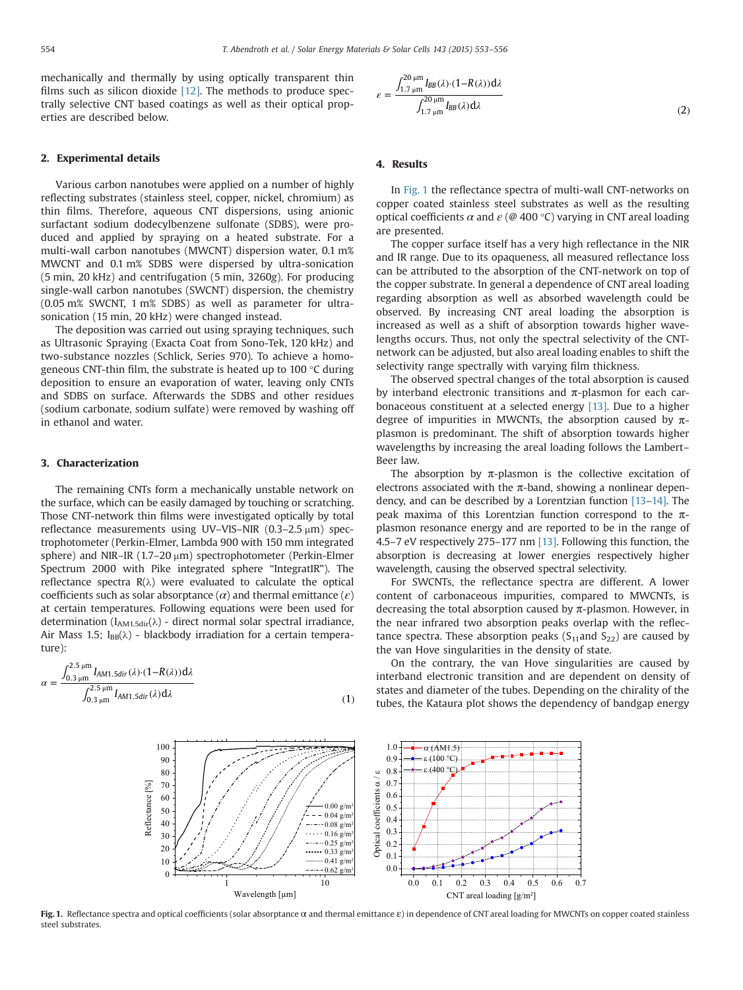mechanically and thermally by using optically transparent thin films such as silicon dioxide  $[12]$ . The methods to produce spectrally selective CNT based coatings as well as their optical properties are described below.

#### 2. Experimental details

Various carbon nanotubes were applied on a number of highly reflecting substrates (stainless steel, copper, nickel, chromium) as thin films. Therefore, aqueous CNT dispersions, using anionic surfactant sodium dodecylbenzene sulfonate (SDBS), were produced and applied by spraying on a heated substrate. For a multi-wall carbon nanotubes (MWCNT) dispersion water, 0.1 m% MWCNT and 0.1 m% SDBS were dispersed by ultra-sonication (5 min, 20 kHz) and centrifugation (5 min, 3260g). For producing single-wall carbon nanotubes (SWCNT) dispersion, the chemistry (0.05 m% SWCNT, 1 m% SDBS) as well as parameter for ultrasonication (15 min, 20 kHz) were changed instead.

The deposition was carried out using spraying techniques, such as Ultrasonic Spraying (Exacta Coat from Sono-Tek, 120 kHz) and two-substance nozzles (Schlick, Series 970). To achieve a homogeneous CNT-thin film, the substrate is heated up to 100 °C during deposition to ensure an evaporation of water, leaving only CNTs and SDBS on surface. Afterwards the SDBS and other residues (sodium carbonate, sodium sulfate) were removed by washing off in ethanol and water.

# 3. Characterization

The remaining CNTs form a mechanically unstable network on the surface, which can be easily damaged by touching or scratching. Those CNT-network thin films were investigated optically by total reflectance measurements using UV-VIS-NIR  $(0.3-2.5 \,\mu m)$  spectrophotometer (Perkin-Elmer, Lambda 900 with 150 mm integrated sphere) and NIR–IR (1.7–20  $\mu$ m) spectrophotometer (Perkin-Elmer Spectrum 2000 with Pike integrated sphere "IntegratIR"). The reflectance spectra  $R(\lambda)$  were evaluated to calculate the optical coefficients such as solar absorptance  $(\alpha)$  and thermal emittance  $(\varepsilon)$ at certain temperatures. Following equations were been used for determination ( $I_{AM1.5dir}(\lambda)$  - direct normal solar spectral irradiance, Air Mass 1.5;  $I_{BB}(\lambda)$  - blackbody irradiation for a certain temperature):

$$
\alpha = \frac{\int_{0.3\,\mu\text{m}}^{2.5\,\mu\text{m}} I_{AM1.5\text{dir}}(\lambda) \cdot (1 - R(\lambda)) \, \mathrm{d}\lambda}{\int_{0.3\,\mu\text{m}}^{2.5\,\mu\text{m}} I_{AM1.5\text{dir}}(\lambda) \, \mathrm{d}\lambda} \tag{1}
$$

$$
\varepsilon = \frac{\int_{1.7 \text{ }\mu\text{m}}^{20 \text{ }\mu\text{m}} I_{BB}(\lambda) \cdot (1 - R(\lambda)) d\lambda}{\int_{1.7 \text{ }\mu\text{m}}^{20 \text{ }\mu\text{m}} I_{BB}(\lambda) d\lambda}
$$
(2)

## 4. Results

In Fig. 1 the reflectance spectra of multi-wall CNT-networks on copper coated stainless steel substrates as well as the resulting optical coefficients  $\alpha$  and  $\varepsilon$  (@ 400 °C) varying in CNT areal loading are presented.

The copper surface itself has a very high reflectance in the NIR and IR range. Due to its opaqueness, all measured reflectance loss can be attributed to the absorption of the CNT-network on top of the copper substrate. In general a dependence of CNT areal loading regarding absorption as well as absorbed wavelength could be observed. By increasing CNT areal loading the absorption is increased as well as a shift of absorption towards higher wavelengths occurs. Thus, not only the spectral selectivity of the CNTnetwork can be adjusted, but also areal loading enables to shift the selectivity range spectrally with varying film thickness.

The observed spectral changes of the total absorption is caused by interband electronic transitions and  $\pi$ -plasmon for each carbonaceous constituent at a selected energy [13]. Due to a higher degree of impurities in MWCNTs, the absorption caused by  $\pi$ plasmon is predominant. The shift of absorption towards higher wavelengths by increasing the areal loading follows the Lambert– Beer law.

The absorption by  $\pi$ -plasmon is the collective excitation of electrons associated with the  $\pi$ -band, showing a nonlinear dependency, and can be described by a Lorentzian function [13–14]. The peak maxima of this Lorentzian function correspond to the  $\pi$ plasmon resonance energy and are reported to be in the range of 4.5–7 eV respectively 275–177 nm [13]. Following this function, the absorption is decreasing at lower energies respectively higher wavelength, causing the observed spectral selectivity.

For SWCNTs, the reflectance spectra are different. A lower content of carbonaceous impurities, compared to MWCNTs, is decreasing the total absorption caused by  $\pi$ -plasmon. However, in the near infrared two absorption peaks overlap with the reflectance spectra. These absorption peaks  $(S_{11}$ and  $S_{22})$  are caused by the van Hove singularities in the density of state.

On the contrary, the van Hove singularities are caused by interband electronic transition and are dependent on density of states and diameter of the tubes. Depending on the chirality of the tubes, the Kataura plot shows the dependency of bandgap energy



Fig. 1. Reflectance spectra and optical coefficients (solar absorptance  $\alpha$  and thermal emittance  $\varepsilon$ ) in dependence of CNT areal loading for MWCNTs on copper coated stainless steel substrates.